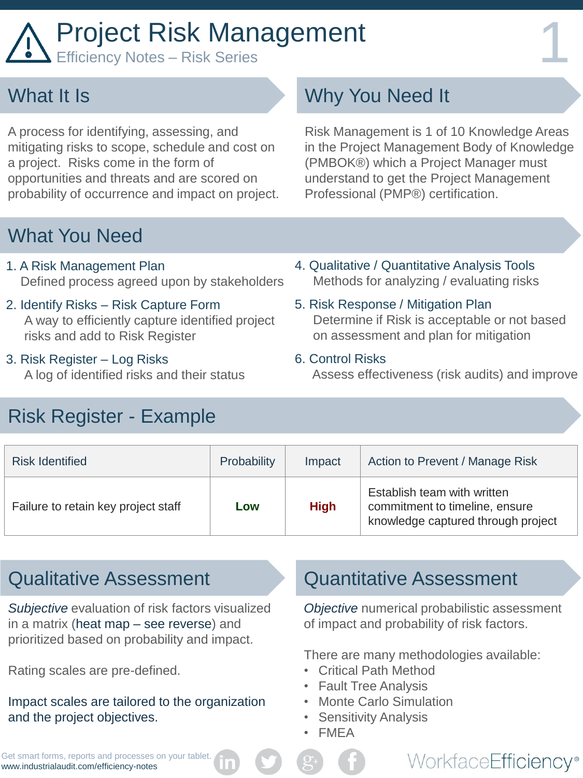# Project Risk Management

### What It Is

A process for identifying, assessing, and mitigating risks to scope, schedule and cost on a project. Risks come in the form of opportunities and threats and are scored on probability of occurrence and impact on project.

### What You Need

- 1. A Risk Management Plan Defined process agreed upon by stakeholders
- 2. Identify Risks Risk Capture Form A way to efficiently capture identified project risks and add to Risk Register
- 3. Risk Register Log Risks A log of identified risks and their status
- Risk Register Example

# Why You Need It

Risk Management is 1 of 10 Knowledge Areas in the Project Management Body of Knowledge (PMBOK®) which a Project Manager must understand to get the Project Management Professional (PMP®) certification.

- 4. Qualitative / Quantitative Analysis Tools Methods for analyzing / evaluating risks
- 5. Risk Response / Mitigation Plan Determine if Risk is acceptable or not based on assessment and plan for mitigation
- 6. Control Risks

Assess effectiveness (risk audits) and improve

| <b>Risk Identified</b>              | Probability | Impact      | Action to Prevent / Manage Risk                                                                     |
|-------------------------------------|-------------|-------------|-----------------------------------------------------------------------------------------------------|
| Failure to retain key project staff | Low         | <b>High</b> | Establish team with written<br>commitment to timeline, ensure<br>knowledge captured through project |

*Subjective* evaluation of risk factors visualized in a matrix (heat map – see reverse) and prioritized based on probability and impact.

Rating scales are pre-defined.

Impact scales are tailored to the organization and the project objectives.

#### Qualitative Assessment Quantitative Assessment

*Objective* numerical probabilistic assessment of impact and probability of risk factors.

WorkfaceEfficiency®

There are many methodologies available:

- Critical Path Method
- Fault Tree Analysis
- **Monte Carlo Simulation**
- Sensitivity Analysis
- FMEA

Get smart forms, reports and processes on your tablet. www.industrialaudit.com/efficiency-notes